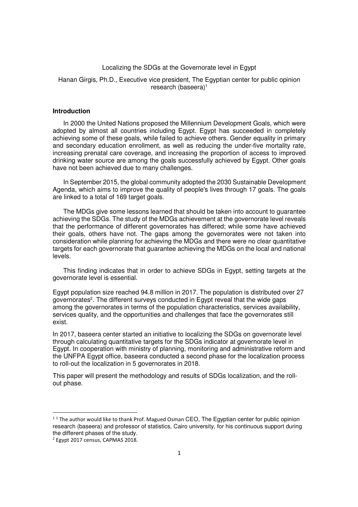#### Localizing the SDGs at the Governorate level in Egypt

Hanan Girgis, Ph.D., Executive vice president, The Egyptian center for public opinion research (baseera)<sup>1</sup>

## **Introduction**

In 2000 the United Nations proposed the Millennium Development Goals, which were adopted by almost all countries including Egypt. Egypt has succeeded in completely achieving some of these goals, while failed to achieve others. Gender equality in primary and secondary education enrollment, as well as reducing the under-five mortality rate, increasing prenatal care coverage, and increasing the proportion of access to improved drinking water source are among the goals successfully achieved by Egypt. Other goals have not been achieved due to many challenges.

In September 2015, the global community adopted the 2030 Sustainable Development Agenda, which aims to improve the quality of people's lives through 17 goals. The goals are linked to a total of 169 target goals.

The MDGs give some lessons learned that should be taken into account to guarantee achieving the SDGs. The study of the MDGs achievement at the governorate level reveals that the performance of different governorates has differed; while some have achieved their goals, others have not. The gaps among the governorates were not taken into consideration while planning for achieving the MDGs and there were no clear quantitative targets for each governorate that guarantee achieving the MDGs on the local and national levels.

This finding indicates that in order to achieve SDGs in Egypt, setting targets at the governorate level is essential.

Egypt population size reached 94.8 million in 2017. The population is distributed over 27 governorates<sup>2</sup>. The different surveys conducted in Egypt reveal that the wide gaps among the governorates in terms of the population characteristics, services availability, services quality, and the opportunities and challenges that face the governorates still exist.

In 2017, baseera center started an initiative to localizing the SDGs on governorate level through calculating quantitative targets for the SDGs indicator at governorate level in Egypt. In cooperation with ministry of planning, monitoring and administrative reform and the UNFPA Egypt office, baseera conducted a second phase for the localization process to roll-out the localization in 5 governorates in 2018.

This paper will present the methodology and results of SDGs localization, and the rollout phase.

<u>.</u>

 $11$  The author would like to thank Prof. Magued Osman CEO, The Egyptian center for public opinion research (baseera) and professor of statistics, Cairo university, for his continuous support during the different phases of the study.

<sup>&</sup>lt;sup>2</sup> Egypt 2017 census, CAPMAS 2018.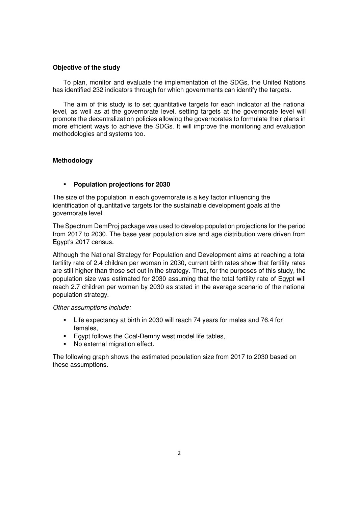# **Objective of the study**

To plan, monitor and evaluate the implementation of the SDGs, the United Nations has identified 232 indicators through for which governments can identify the targets.

The aim of this study is to set quantitative targets for each indicator at the national level, as well as at the governorate level. setting targets at the governorate level will promote the decentralization policies allowing the governorates to formulate their plans in more efficient ways to achieve the SDGs. It will improve the monitoring and evaluation methodologies and systems too.

# **Methodology**

# **Population projections for 2030**

The size of the population in each governorate is a key factor influencing the identification of quantitative targets for the sustainable development goals at the governorate level.

The Spectrum DemProj package was used to develop population projections for the period from 2017 to 2030. The base year population size and age distribution were driven from Egypt's 2017 census.

Although the National Strategy for Population and Development aims at reaching a total fertility rate of 2.4 children per woman in 2030, current birth rates show that fertility rates are still higher than those set out in the strategy. Thus, for the purposes of this study, the population size was estimated for 2030 assuming that the total fertility rate of Egypt will reach 2.7 children per woman by 2030 as stated in the average scenario of the national population strategy.

# Other assumptions include:

- Life expectancy at birth in 2030 will reach 74 years for males and 76.4 for females,
- **Egypt follows the Coal-Demny west model life tables,**
- No external migration effect.

The following graph shows the estimated population size from 2017 to 2030 based on these assumptions.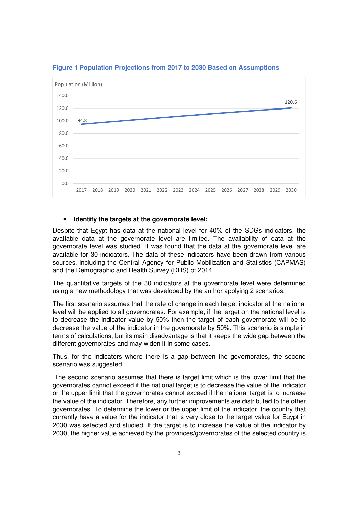

#### **Figure 1 Population Projections from 2017 to 2030 Based on Assumptions**

#### **Identify the targets at the governorate level:**

Despite that Egypt has data at the national level for 40% of the SDGs indicators, the available data at the governorate level are limited. The availability of data at the governorate level was studied. It was found that the data at the governorate level are available for 30 indicators. The data of these indicators have been drawn from various sources, including the Central Agency for Public Mobilization and Statistics (CAPMAS) and the Demographic and Health Survey (DHS) of 2014.

The quantitative targets of the 30 indicators at the governorate level were determined using a new methodology that was developed by the author applying 2 scenarios.

The first scenario assumes that the rate of change in each target indicator at the national level will be applied to all governorates. For example, if the target on the national level is to decrease the indicator value by 50% then the target of each governorate will be to decrease the value of the indicator in the governorate by 50%. This scenario is simple in terms of calculations, but its main disadvantage is that it keeps the wide gap between the different governorates and may widen it in some cases.

Thus, for the indicators where there is a gap between the governorates, the second scenario was suggested.

 The second scenario assumes that there is target limit which is the lower limit that the governorates cannot exceed if the national target is to decrease the value of the indicator or the upper limit that the governorates cannot exceed if the national target is to increase the value of the indicator. Therefore, any further improvements are distributed to the other governorates. To determine the lower or the upper limit of the indicator, the country that currently have a value for the indicator that is very close to the target value for Egypt in 2030 was selected and studied. If the target is to increase the value of the indicator by 2030, the higher value achieved by the provinces/governorates of the selected country is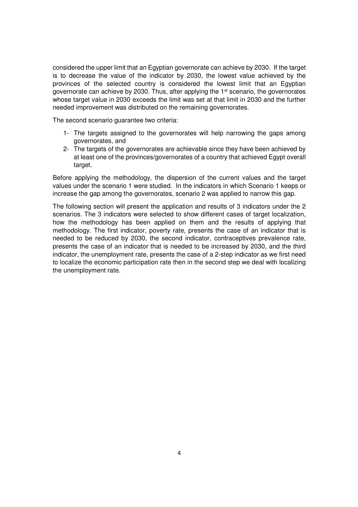considered the upper limit that an Egyptian governorate can achieve by 2030. If the target is to decrease the value of the indicator by 2030, the lowest value achieved by the provinces of the selected country is considered the lowest limit that an Egyptian governorate can achieve by 2030. Thus, after applying the 1<sup>st</sup> scenario, the governorates whose target value in 2030 exceeds the limit was set at that limit in 2030 and the further needed improvement was distributed on the remaining governorates.

The second scenario guarantee two criteria:

- 1- The targets assigned to the governorates will help narrowing the gaps among governorates, and
- 2- The targets of the governorates are achievable since they have been achieved by at least one of the provinces/governorates of a country that achieved Egypt overall target.

Before applying the methodology, the dispersion of the current values and the target values under the scenario 1 were studied. In the indicators in which Scenario 1 keeps or increase the gap among the governorates, scenario 2 was applied to narrow this gap.

The following section will present the application and results of 3 indicators under the 2 scenarios. The 3 indicators were selected to show different cases of target localization, how the methodology has been applied on them and the results of applying that methodology. The first indicator, poverty rate, presents the case of an indicator that is needed to be reduced by 2030, the second indicator, contraceptives prevalence rate, presents the case of an indicator that is needed to be increased by 2030, and the third indicator, the unemployment rate, presents the case of a 2-step indicator as we first need to localize the economic participation rate then in the second step we deal with localizing the unemployment rate.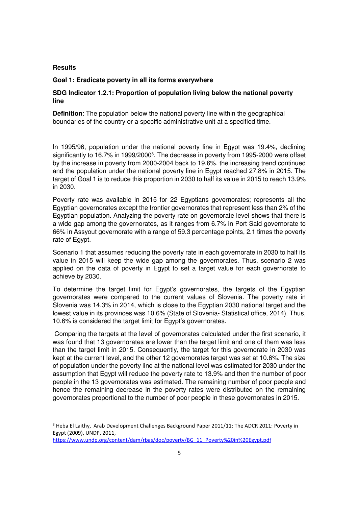## **Results**

<u>.</u>

### **Goal 1: Eradicate poverty in all its forms everywhere**

# **SDG Indicator 1.2.1: Proportion of population living below the national poverty line**

**Definition**: The population below the national poverty line within the geographical boundaries of the country or a specific administrative unit at a specified time.

In 1995/96, population under the national poverty line in Egypt was 19.4%, declining significantly to 16.7% in 1999/2000<sup>3</sup>. The decrease in poverty from 1995-2000 were offset by the increase in poverty from 2000-2004 back to 19.6%. the increasing trend continued and the population under the national poverty line in Egypt reached 27.8% in 2015. The target of Goal 1 is to reduce this proportion in 2030 to half its value in 2015 to reach 13.9% in 2030.

Poverty rate was available in 2015 for 22 Egyptians governorates; represents all the Egyptian governorates except the frontier governorates that represent less than 2% of the Egyptian population. Analyzing the poverty rate on governorate level shows that there is a wide gap among the governorates, as it ranges from 6.7% in Port Said governorate to 66% in Assyout governorate with a range of 59.3 percentage points, 2.1 times the poverty rate of Egypt.

Scenario 1 that assumes reducing the poverty rate in each governorate in 2030 to half its value in 2015 will keep the wide gap among the governorates. Thus, scenario 2 was applied on the data of poverty in Egypt to set a target value for each governorate to achieve by 2030.

To determine the target limit for Egypt's governorates, the targets of the Egyptian governorates were compared to the current values of Slovenia. The poverty rate in Slovenia was 14.3% in 2014, which is close to the Egyptian 2030 national target and the lowest value in its provinces was 10.6% (State of Slovenia- Statistical office, 2014). Thus, 10.6% is considered the target limit for Egypt's governorates.

 Comparing the targets at the level of governorates calculated under the first scenario, it was found that 13 governorates are lower than the target limit and one of them was less than the target limit in 2015. Consequently, the target for this governorate in 2030 was kept at the current level, and the other 12 governorates target was set at 10.6%. The size of population under the poverty line at the national level was estimated for 2030 under the assumption that Egypt will reduce the poverty rate to 13.9% and then the number of poor people in the 13 governorates was estimated. The remaining number of poor people and hence the remaining decrease in the poverty rates were distributed on the remaining governorates proportional to the number of poor people in these governorates in 2015.

<sup>&</sup>lt;sup>3</sup> Heba El Laithy, Arab Development Challenges Background Paper 2011/11: The ADCR 2011: Poverty in Egypt (2009), UNDP, 2011,

https://www.undp.org/content/dam/rbas/doc/poverty/BG\_11\_Poverty%20in%20Egypt.pdf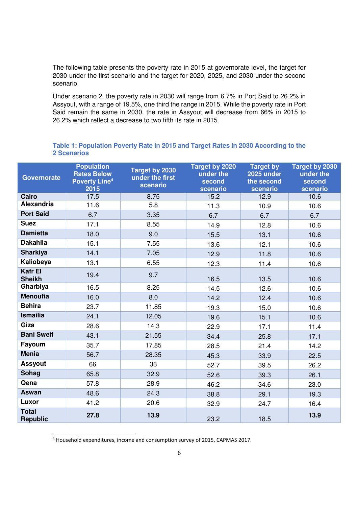The following table presents the poverty rate in 2015 at governorate level, the target for 2030 under the first scenario and the target for 2020, 2025, and 2030 under the second scenario.

Under scenario 2, the poverty rate in 2030 will range from 6.7% in Port Said to 26.2% in Assyout, with a range of 19.5%, one third the range in 2015. While the poverty rate in Port Said remain the same in 2030, the rate in Assyout will decrease from 66% in 2015 to 26.2% which reflect a decrease to two fifth its rate in 2015.

# **Table 1: Population Poverty Rate in 2015 and Target Rates In 2030 According to the 2 Scenarios**

| <b>Governorate</b>              | <b>Population</b><br><b>Rates Below</b><br><b>Poverty Line<sup>4</sup></b><br>2015 | <b>Target by 2030</b><br>under the first<br>scenario | Target by 2020<br>under the<br>second<br>scenario | <b>Target by</b><br>2025 under<br>the second<br>scenario | Target by 2030<br>under the<br>second<br>scenario |
|---------------------------------|------------------------------------------------------------------------------------|------------------------------------------------------|---------------------------------------------------|----------------------------------------------------------|---------------------------------------------------|
| Cairo                           | 17.5                                                                               | 8.75                                                 | 15.2                                              | 12.9                                                     | 10.6                                              |
| <b>Alexandria</b>               | 11.6                                                                               | 5.8                                                  | 11.3                                              | 10.9                                                     | 10.6                                              |
| <b>Port Said</b>                | 6.7                                                                                | 3.35                                                 | 6.7                                               | 6.7                                                      | 6.7                                               |
| <b>Suez</b>                     | 17.1                                                                               | 8.55                                                 | 14.9                                              | 12.8                                                     | 10.6                                              |
| <b>Damietta</b>                 | 18.0                                                                               | 9.0                                                  | 15.5                                              | 13.1                                                     | 10.6                                              |
| <b>Dakahlia</b>                 | 15.1                                                                               | 7.55                                                 | 13.6                                              | 12.1                                                     | 10.6                                              |
| <b>Sharkiya</b>                 | 14.1                                                                               | 7.05                                                 | 12.9                                              | 11.8                                                     | 10.6                                              |
| Kaliobeya                       | 13.1                                                                               | 6.55                                                 | 12.3                                              | 11.4                                                     | 10.6                                              |
| <b>Kafr El</b><br><b>Sheikh</b> | 19.4                                                                               | 9.7                                                  | 16.5                                              | 13.5                                                     | 10.6                                              |
| Gharbiya                        | 16.5                                                                               | 8.25                                                 | 14.5                                              | 12.6                                                     | 10.6                                              |
| <b>Menoufia</b>                 | 16.0                                                                               | 8.0                                                  | 14.2                                              | 12.4                                                     | 10.6                                              |
| <b>Behira</b>                   | 23.7                                                                               | 11.85                                                | 19.3                                              | 15.0                                                     | 10.6                                              |
| <b>Ismailia</b>                 | 24.1                                                                               | 12.05                                                | 19.6                                              | 15.1                                                     | 10.6                                              |
| Giza                            | 28.6                                                                               | 14.3                                                 | 22.9                                              | 17.1                                                     | 11.4                                              |
| <b>Bani Sweif</b>               | 43.1                                                                               | 21.55                                                | 34.4                                              | 25.8                                                     | 17.1                                              |
| Fayoum                          | 35.7                                                                               | 17.85                                                | 28.5                                              | 21.4                                                     | 14.2                                              |
| <b>Menia</b>                    | 56.7                                                                               | 28.35                                                | 45.3                                              | 33.9                                                     | 22.5                                              |
| <b>Assyout</b>                  | 66                                                                                 | 33                                                   | 52.7                                              | 39.5                                                     | 26.2                                              |
| <b>Sohag</b>                    | 65.8                                                                               | 32.9                                                 | 52.6                                              | 39.3                                                     | 26.1                                              |
| Qena                            | 57.8                                                                               | 28.9                                                 | 46.2                                              | 34.6                                                     | 23.0                                              |
| Aswan                           | 48.6                                                                               | 24.3                                                 | 38.8                                              | 29.1                                                     | 19.3                                              |
| Luxor                           | 41.2                                                                               | 20.6                                                 | 32.9                                              | 24.7                                                     | 16.4                                              |
| <b>Total</b><br><b>Republic</b> | 27.8                                                                               | 13.9                                                 | 23.2                                              | 18.5                                                     | 13.9                                              |

<sup>4</sup> Household expenditures, income and consumption survey of 2015, CAPMAS 2017.

<u>.</u>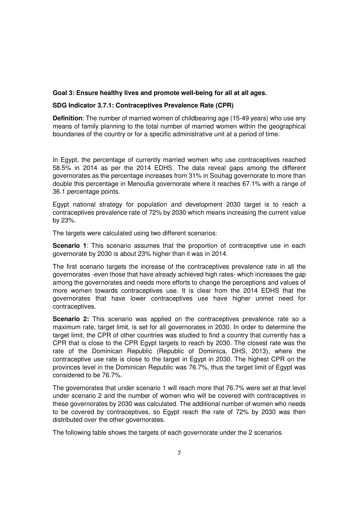# **Goal 3: Ensure healthy lives and promote well-being for all at all ages.**

# **SDG Indicator 3.7.1: Contraceptives Prevalence Rate (CPR)**

**Definition**: The number of married women of childbearing age (15-49 years) who use any means of family planning to the total number of married women within the geographical boundaries of the country or for a specific administrative unit at a period of time.

In Egypt, the percentage of currently married women who use contraceptives reached 58.5% in 2014 as per the 2014 EDHS. The data reveal gaps among the different governorates as the percentage increases from 31% in Souhag governorate to more than double this percentage in Menoufia governorate where it reaches 67.1% with a range of 36.1 percentage points.

Egypt national strategy for population and development 2030 target is to reach a contraceptives prevalence rate of 72% by 2030 which means increasing the current value by 23%.

The targets were calculated using two different scenarios:

**Scenario 1**: This scenario assumes that the proportion of contraceptive use in each governorate by 2030 is about 23% higher than it was in 2014.

The first scenario targets the increase of the contraceptives prevalence rate in all the governorates -even those that have already achieved high rates- which increases the gap among the governorates and needs more efforts to change the perceptions and values of more women towards contraceptives use. It is clear from the 2014 EDHS that the governorates that have lower contraceptives use have higher unmet need for contraceptives.

**Scenario 2:** This scenario was applied on the contraceptives prevalence rate so a maximum rate, target limit, is set for all governorates in 2030. In order to determine the target limit, the CPR of other countries was studied to find a country that currently has a CPR that is close to the CPR Egypt targets to reach by 2030. The closest rate was the rate of the Dominican Republic (Republic of Dominica, DHS, 2013), where the contraceptive use rate is close to the target in Egypt in 2030. The highest CPR on the provinces level in the Dominican Republic was 76.7%, thus the target limit of Egypt was considered to be 76.7%.

The governorates that under scenario 1 will reach more that 76.7% were set at that level under scenario 2 and the number of women who will be covered with contraceptives in these governorates by 2030 was calculated. The additional number of women who needs to be covered by contraceptives, so Egypt reach the rate of 72% by 2030 was then distributed over the other governorates.

The following table shows the targets of each governorate under the 2 scenarios.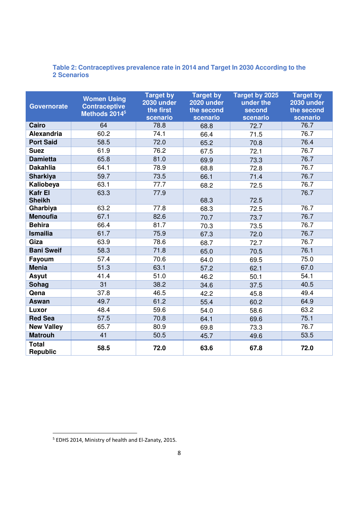# **Table 2: Contraceptives prevalence rate in 2014 and Target In 2030 According to the 2 Scenarios**

| <b>Governorate</b>              | <b>Women Using</b><br><b>Contraceptive</b><br>Methods 2014 <sup>5</sup> | <b>Target by</b><br><b>2030 under</b><br>the first<br>scenario | <b>Target by</b><br>2020 under<br>the second<br>scenario | Target by 2025<br>under the<br>second<br>scenario | <b>Target by</b><br>2030 under<br>the second<br>scenario |
|---------------------------------|-------------------------------------------------------------------------|----------------------------------------------------------------|----------------------------------------------------------|---------------------------------------------------|----------------------------------------------------------|
| Cairo                           | 64                                                                      | 78.8                                                           | 68.8                                                     | 72.7                                              | 76.7                                                     |
| Alexandria                      | 60.2                                                                    | 74.1                                                           | 66.4                                                     | 71.5                                              | 76.7                                                     |
| <b>Port Said</b>                | 58.5                                                                    | 72.0                                                           | 65.2                                                     | 70.8                                              | 76.4                                                     |
| <b>Suez</b>                     | 61.9                                                                    | 76.2                                                           | 67.5                                                     | 72.1                                              | 76.7                                                     |
| <b>Damietta</b>                 | 65.8                                                                    | 81.0                                                           | 69.9                                                     | 73.3                                              | 76.7                                                     |
| <b>Dakahlia</b>                 | 64.1                                                                    | 78.9                                                           | 68.8                                                     | 72.8                                              | 76.7                                                     |
| <b>Sharkiya</b>                 | 59.7                                                                    | 73.5                                                           | 66.1                                                     | 71.4                                              | 76.7                                                     |
| Kaliobeya                       | 63.1                                                                    | 77.7                                                           | 68.2                                                     | 72.5                                              | 76.7                                                     |
| <b>Kafr El</b><br><b>Sheikh</b> | 63.3                                                                    | 77.9                                                           | 68.3                                                     | 72.5                                              | 76.7                                                     |
| Gharbiya                        | 63.2                                                                    | 77.8                                                           | 68.3                                                     | 72.5                                              | 76.7                                                     |
| <b>Menoufia</b>                 | 67.1                                                                    | 82.6                                                           | 70.7                                                     | 73.7                                              | 76.7                                                     |
| <b>Behira</b>                   | 66.4                                                                    | 81.7                                                           | 70.3                                                     | 73.5                                              | 76.7                                                     |
| <b>Ismailia</b>                 | 61.7                                                                    | 75.9                                                           | 67.3                                                     | 72.0                                              | 76.7                                                     |
| Giza                            | 63.9                                                                    | 78.6                                                           | 68.7                                                     | 72.7                                              | 76.7                                                     |
| <b>Bani Sweif</b>               | 58.3                                                                    | 71.8                                                           | 65.0                                                     | 70.5                                              | 76.1                                                     |
| Fayoum                          | 57.4                                                                    | 70.6                                                           | 64.0                                                     | 69.5                                              | 75.0                                                     |
| <b>Menia</b>                    | 51.3                                                                    | 63.1                                                           | 57.2                                                     | 62.1                                              | 67.0                                                     |
| Asyut                           | 41.4                                                                    | 51.0                                                           | 46.2                                                     | 50.1                                              | 54.1                                                     |
| Sohag                           | $\overline{31}$                                                         | 38.2                                                           | 34.6                                                     | 37.5                                              | 40.5                                                     |
| Qena                            | 37.8                                                                    | 46.5                                                           | 42.2                                                     | 45.8                                              | 49.4                                                     |
| Aswan                           | 49.7                                                                    | 61.2                                                           | 55.4                                                     | 60.2                                              | 64.9                                                     |
| Luxor                           | 48.4                                                                    | 59.6                                                           | 54.0                                                     | 58.6                                              | 63.2                                                     |
| <b>Red Sea</b>                  | 57.5                                                                    | 70.8                                                           | 64.1                                                     | 69.6                                              | 75.1                                                     |
| <b>New Valley</b>               | 65.7                                                                    | 80.9                                                           | 69.8                                                     | 73.3                                              | 76.7                                                     |
| <b>Matrouh</b>                  | 41                                                                      | 50.5                                                           | 45.7                                                     | 49.6                                              | 53.5                                                     |
| <b>Total</b><br><b>Republic</b> | 58.5                                                                    | 72.0                                                           | 63.6                                                     | 67.8                                              | 72.0                                                     |

 5 EDHS 2014, Ministry of health and El-Zanaty, 2015.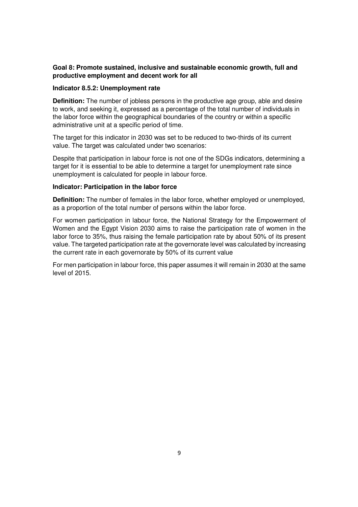# **Goal 8: Promote sustained, inclusive and sustainable economic growth, full and productive employment and decent work for all**

## **Indicator 8.5.2: Unemployment rate**

**Definition:** The number of jobless persons in the productive age group, able and desire to work, and seeking it, expressed as a percentage of the total number of individuals in the labor force within the geographical boundaries of the country or within a specific administrative unit at a specific period of time.

The target for this indicator in 2030 was set to be reduced to two-thirds of its current value. The target was calculated under two scenarios:

Despite that participation in labour force is not one of the SDGs indicators, determining a target for it is essential to be able to determine a target for unemployment rate since unemployment is calculated for people in labour force.

## **Indicator: Participation in the labor force**

**Definition:** The number of females in the labor force, whether employed or unemployed, as a proportion of the total number of persons within the labor force.

For women participation in labour force, the National Strategy for the Empowerment of Women and the Egypt Vision 2030 aims to raise the participation rate of women in the labor force to 35%, thus raising the female participation rate by about 50% of its present value. The targeted participation rate at the governorate level was calculated by increasing the current rate in each governorate by 50% of its current value

For men participation in labour force, this paper assumes it will remain in 2030 at the same level of 2015.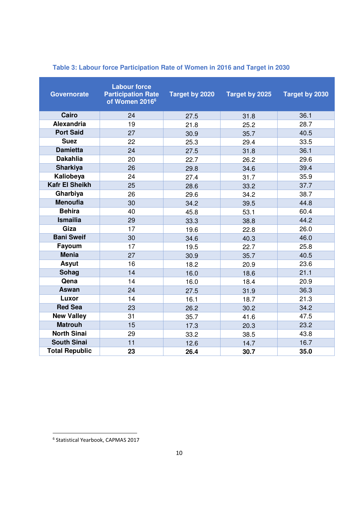| <b>Governorate</b>    | <b>Labour force</b><br><b>Participation Rate</b><br>of Women 2016 <sup>6</sup> | Target by 2020 | Target by 2025 | <b>Target by 2030</b> |
|-----------------------|--------------------------------------------------------------------------------|----------------|----------------|-----------------------|
| Cairo                 | 24                                                                             | 27.5           | 31.8           | 36.1                  |
| <b>Alexandria</b>     | 19                                                                             | 21.8           | 25.2           | 28.7                  |
| <b>Port Said</b>      | 27                                                                             | 30.9           | 35.7           | 40.5                  |
| <b>Suez</b>           | 22                                                                             | 25.3           | 29.4           | 33.5                  |
| <b>Damietta</b>       | 24                                                                             | 27.5           | 31.8           | 36.1                  |
| <b>Dakahlia</b>       | 20                                                                             | 22.7           | 26.2           | 29.6                  |
| <b>Sharkiya</b>       | 26                                                                             | 29.8           | 34.6           | 39.4                  |
| Kaliobeya             | 24                                                                             | 27.4           | 31.7           | 35.9                  |
| <b>Kafr El Sheikh</b> | 25                                                                             | 28.6           | 33.2           | 37.7                  |
| Gharbiya              | 26                                                                             | 29.6           | 34.2           | 38.7                  |
| <b>Menoufia</b>       | 30                                                                             | 34.2           | 39.5           | 44.8                  |
| <b>Behira</b>         | 40                                                                             | 45.8           | 53.1           | 60.4                  |
| <b>Ismailia</b>       | 29                                                                             | 33.3           | 38.8           | 44.2                  |
| Giza                  | 17                                                                             | 19.6           | 22.8           | 26.0                  |
| <b>Bani Sweif</b>     | 30                                                                             | 34.6           | 40.3           | 46.0                  |
| Fayoum                | 17                                                                             | 19.5           | 22.7           | 25.8                  |
| <b>Menia</b>          | 27                                                                             | 30.9           | 35.7           | 40.5                  |
| Asyut                 | 16                                                                             | 18.2           | 20.9           | 23.6                  |
| Sohag                 | 14                                                                             | 16.0           | 18.6           | 21.1                  |
| Qena                  | 14                                                                             | 16.0           | 18.4           | 20.9                  |
| Aswan                 | 24                                                                             | 27.5           | 31.9           | 36.3                  |
| Luxor                 | 14                                                                             | 16.1           | 18.7           | 21.3                  |
| <b>Red Sea</b>        | 23                                                                             | 26.2           | 30.2           | 34.2                  |
| <b>New Valley</b>     | 31                                                                             | 35.7           | 41.6           | 47.5                  |
| <b>Matrouh</b>        | 15                                                                             | 17.3           | 20.3           | 23.2                  |
| <b>North Sinai</b>    | 29                                                                             | 33.2           | 38.5           | 43.8                  |
| <b>South Sinai</b>    | 11                                                                             | 12.6           | 14.7           | 16.7                  |
| <b>Total Republic</b> | 23                                                                             | 26.4           | 30.7           | 35.0                  |

# **Table 3: Labour force Participation Rate of Women in 2016 and Target in 2030**

 6 Statistical Yearbook, CAPMAS 2017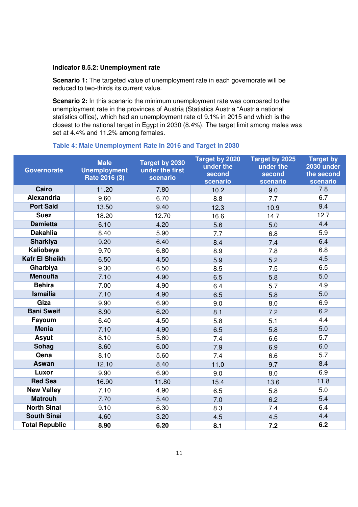## **Indicator 8.5.2: Unemployment rate**

**Scenario 1:** The targeted value of unemployment rate in each governorate will be reduced to two-thirds its current value.

**Scenario 2:** In this scenario the minimum unemployment rate was compared to the unemployment rate in the provinces of Austria (Statistics Austria "Austria national statistics office), which had an unemployment rate of 9.1% in 2015 and which is the closest to the national target in Egypt in 2030 (8.4%). The target limit among males was set at 4.4% and 11.2% among females.

| <b>Governorate</b>    | <b>Male</b><br><b>Unemployment</b><br>Rate 2016 (3) | <b>Target by 2030</b><br>under the first<br>scenario | <b>Target by 2020</b><br>under the<br>second<br>scenario | Target by 2025<br>under the<br>second<br>scenario | <b>Target by</b><br>2030 under<br>the second<br>scenario |
|-----------------------|-----------------------------------------------------|------------------------------------------------------|----------------------------------------------------------|---------------------------------------------------|----------------------------------------------------------|
| Cairo                 | 11.20                                               | 7.80                                                 | 10.2                                                     | 9.0                                               | 7.8                                                      |
| Alexandria            | 9.60                                                | 6.70                                                 | 8.8                                                      | 7.7                                               | 6.7                                                      |
| <b>Port Said</b>      | 13.50                                               | 9.40                                                 | 12.3                                                     | 10.9                                              | 9.4                                                      |
| <b>Suez</b>           | 18.20                                               | 12.70                                                | 16.6                                                     | 14.7                                              | 12.7                                                     |
| <b>Damietta</b>       | 6.10                                                | 4.20                                                 | 5.6                                                      | 5.0                                               | 4.4                                                      |
| <b>Dakahlia</b>       | 8.40                                                | 5.90                                                 | 7.7                                                      | 6.8                                               | 5.9                                                      |
| <b>Sharkiya</b>       | 9.20                                                | 6.40                                                 | 8.4                                                      | 7.4                                               | 6.4                                                      |
| Kaliobeya             | 9.70                                                | 6.80                                                 | 8.9                                                      | 7.8                                               | 6.8                                                      |
| <b>Kafr El Sheikh</b> | 6.50                                                | 4.50                                                 | 5.9                                                      | 5.2                                               | 4.5                                                      |
| Gharbiya              | 9.30                                                | 6.50                                                 | 8.5                                                      | 7.5                                               | 6.5                                                      |
| <b>Menoufia</b>       | 7.10                                                | 4.90                                                 | 6.5                                                      | 5.8                                               | 5.0                                                      |
| <b>Behira</b>         | 7.00                                                | 4.90                                                 | 6.4                                                      | 5.7                                               | 4.9                                                      |
| <b>Ismailia</b>       | 7.10                                                | 4.90                                                 | 6.5                                                      | 5.8                                               | 5.0                                                      |
| Giza                  | 9.90                                                | 6.90                                                 | 9.0                                                      | 8.0                                               | 6.9                                                      |
| <b>Bani Sweif</b>     | 8.90                                                | 6.20                                                 | 8.1                                                      | 7.2                                               | 6.2                                                      |
| Fayoum                | 6.40                                                | 4.50                                                 | 5.8                                                      | 5.1                                               | 4.4                                                      |
| <b>Menia</b>          | 7.10                                                | 4.90                                                 | 6.5                                                      | 5.8                                               | 5.0                                                      |
| Asyut                 | 8.10                                                | 5.60                                                 | 7.4                                                      | 6.6                                               | 5.7                                                      |
| Sohag                 | 8.60                                                | 6.00                                                 | 7.9                                                      | 6.9                                               | 6.0                                                      |
| Qena                  | 8.10                                                | 5.60                                                 | 7.4                                                      | 6.6                                               | 5.7                                                      |
| Aswan                 | 12.10                                               | 8.40                                                 | 11.0                                                     | 9.7                                               | 8.4                                                      |
| Luxor                 | 9.90                                                | 6.90                                                 | 9.0                                                      | 8.0                                               | 6.9                                                      |
| <b>Red Sea</b>        | 16.90                                               | 11.80                                                | 15.4                                                     | 13.6                                              | 11.8                                                     |
| <b>New Valley</b>     | 7.10                                                | 4.90                                                 | 6.5                                                      | 5.8                                               | 5.0                                                      |
| <b>Matrouh</b>        | 7.70                                                | 5.40                                                 | 7.0                                                      | 6.2                                               | 5.4                                                      |
| <b>North Sinai</b>    | 9.10                                                | 6.30                                                 | 8.3                                                      | 7.4                                               | 6.4                                                      |
| <b>South Sinai</b>    | 4.60                                                | 3.20                                                 | 4.5                                                      | 4.5                                               | 4.4                                                      |
| <b>Total Republic</b> | 8.90                                                | 6.20                                                 | 8.1                                                      | 7.2                                               | 6.2                                                      |

# **Table 4: Male Unemployment Rate In 2016 and Target In 2030**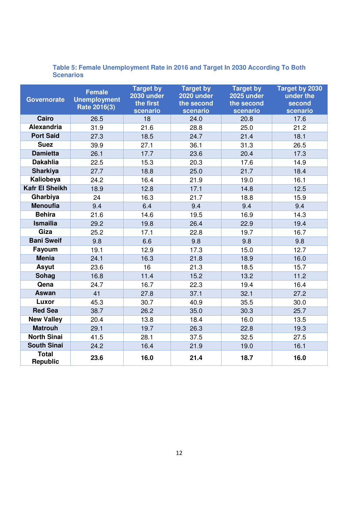| Table 5: Female Unemployment Rate in 2016 and Target In 2030 According To Both |  |  |  |
|--------------------------------------------------------------------------------|--|--|--|
| <b>Scenarios</b>                                                               |  |  |  |

| <b>Governorate</b>              | <b>Female</b><br><b>Unemployment</b><br>Rate 2016(3) | <b>Target by</b><br>2030 under<br>the first<br>scenario | <b>Target by</b><br>2020 under<br>the second<br>scenario | <b>Target by</b><br>2025 under<br>the second<br>scenario | <b>Target by 2030</b><br>under the<br>second<br>scenario |
|---------------------------------|------------------------------------------------------|---------------------------------------------------------|----------------------------------------------------------|----------------------------------------------------------|----------------------------------------------------------|
| Cairo                           | 26.5                                                 | 18                                                      | 24.0                                                     | 20.8                                                     | 17.6                                                     |
| Alexandria                      | 31.9                                                 | 21.6                                                    | 28.8                                                     | 25.0                                                     | 21.2                                                     |
| <b>Port Said</b>                | 27.3                                                 | 18.5                                                    | 24.7                                                     | 21.4                                                     | 18.1                                                     |
| <b>Suez</b>                     | 39.9                                                 | 27.1                                                    | 36.1                                                     | 31.3                                                     | 26.5                                                     |
| <b>Damietta</b>                 | 26.1                                                 | 17.7                                                    | 23.6                                                     | 20.4                                                     | 17.3                                                     |
| <b>Dakahlia</b>                 | 22.5                                                 | 15.3                                                    | 20.3                                                     | 17.6                                                     | 14.9                                                     |
| <b>Sharkiya</b>                 | 27.7                                                 | 18.8                                                    | 25.0                                                     | 21.7                                                     | 18.4                                                     |
| Kaliobeya                       | 24.2                                                 | 16.4                                                    | 21.9                                                     | 19.0                                                     | 16.1                                                     |
| <b>Kafr El Sheikh</b>           | 18.9                                                 | 12.8                                                    | 17.1                                                     | 14.8                                                     | 12.5                                                     |
| Gharbiya                        | 24                                                   | 16.3                                                    | 21.7                                                     | 18.8                                                     | 15.9                                                     |
| <b>Menoufia</b>                 | 9.4                                                  | 6.4                                                     | 9.4                                                      | 9.4                                                      | 9.4                                                      |
| <b>Behira</b>                   | 21.6                                                 | 14.6                                                    | 19.5                                                     | 16.9                                                     | 14.3                                                     |
| <b>Ismailia</b>                 | 29.2                                                 | 19.8                                                    | 26.4                                                     | 22.9                                                     | 19.4                                                     |
| Giza                            | 25.2                                                 | 17.1                                                    | 22.8                                                     | 19.7                                                     | 16.7                                                     |
| <b>Bani Sweif</b>               | 9.8                                                  | 6.6                                                     | 9.8                                                      | 9.8                                                      | 9.8                                                      |
| Fayoum                          | 19.1                                                 | 12.9                                                    | 17.3                                                     | 15.0                                                     | 12.7                                                     |
| <b>Menia</b>                    | 24.1                                                 | 16.3                                                    | 21.8                                                     | 18.9                                                     | 16.0                                                     |
| Asyut                           | 23.6                                                 | 16                                                      | 21.3                                                     | 18.5                                                     | 15.7                                                     |
| Sohag                           | 16.8                                                 | 11.4                                                    | 15.2                                                     | 13.2                                                     | 11.2                                                     |
| Qena                            | 24.7                                                 | 16.7                                                    | 22.3                                                     | 19.4                                                     | 16.4                                                     |
| Aswan                           | 41                                                   | 27.8                                                    | 37.1                                                     | 32.1                                                     | 27.2                                                     |
| Luxor                           | 45.3                                                 | 30.7                                                    | 40.9                                                     | 35.5                                                     | 30.0                                                     |
| <b>Red Sea</b>                  | 38.7                                                 | 26.2                                                    | 35.0                                                     | 30.3                                                     | 25.7                                                     |
| <b>New Valley</b>               | 20.4                                                 | 13.8                                                    | 18.4                                                     | 16.0                                                     | 13.5                                                     |
| <b>Matrouh</b>                  | 29.1                                                 | 19.7                                                    | 26.3                                                     | 22.8                                                     | 19.3                                                     |
| <b>North Sinai</b>              | 41.5                                                 | 28.1                                                    | 37.5                                                     | 32.5                                                     | 27.5                                                     |
| <b>South Sinai</b>              | 24.2                                                 | 16.4                                                    | 21.9                                                     | 19.0                                                     | 16.1                                                     |
| <b>Total</b><br><b>Republic</b> | 23.6                                                 | 16.0                                                    | 21.4                                                     | 18.7                                                     | 16.0                                                     |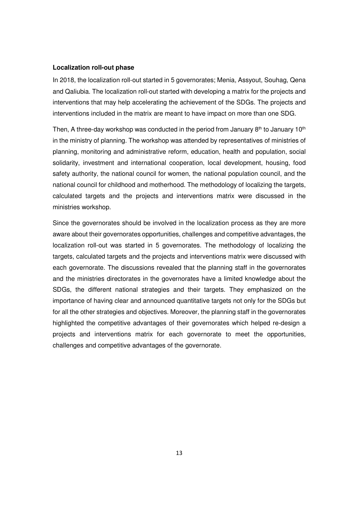#### **Localization roll-out phase**

In 2018, the localization roll-out started in 5 governorates; Menia, Assyout, Souhag, Qena and Qaliubia. The localization roll-out started with developing a matrix for the projects and interventions that may help accelerating the achievement of the SDGs. The projects and interventions included in the matrix are meant to have impact on more than one SDG.

Then, A three-day workshop was conducted in the period from January  $8<sup>th</sup>$  to January 10<sup>th</sup> in the ministry of planning. The workshop was attended by representatives of ministries of planning, monitoring and administrative reform, education, health and population, social solidarity, investment and international cooperation, local development, housing, food safety authority, the national council for women, the national population council, and the national council for childhood and motherhood. The methodology of localizing the targets, calculated targets and the projects and interventions matrix were discussed in the ministries workshop.

Since the governorates should be involved in the localization process as they are more aware about their governorates opportunities, challenges and competitive advantages, the localization roll-out was started in 5 governorates. The methodology of localizing the targets, calculated targets and the projects and interventions matrix were discussed with each governorate. The discussions revealed that the planning staff in the governorates and the ministries directorates in the governorates have a limited knowledge about the SDGs, the different national strategies and their targets. They emphasized on the importance of having clear and announced quantitative targets not only for the SDGs but for all the other strategies and objectives. Moreover, the planning staff in the governorates highlighted the competitive advantages of their governorates which helped re-design a projects and interventions matrix for each governorate to meet the opportunities, challenges and competitive advantages of the governorate.